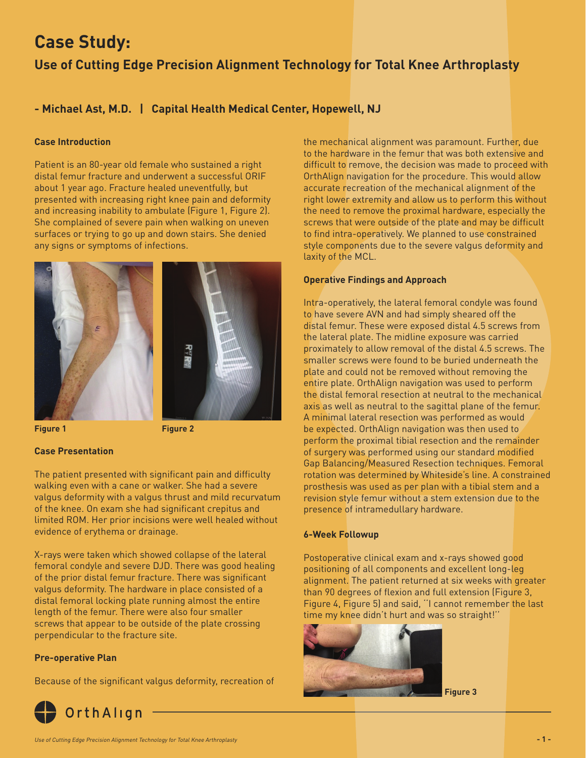# **Case Study:**

## **Use of Cutting Edge Precision Alignment Technology for Total Knee Arthroplasty**

### **- Michael Ast, M.D. | Capital Health Medical Center, Hopewell, NJ**

#### **Case Introduction**

Patient is an 80-year old female who sustained a right distal femur fracture and underwent a successful ORIF about 1 year ago. Fracture healed uneventfully, but presented with increasing right knee pain and deformity and increasing inability to ambulate (Figure 1, Figure 2). She complained of severe pain when walking on uneven surfaces or trying to go up and down stairs. She denied any signs or symptoms of infections.





**Figure 1 Figure 2**

#### **Case Presentation**

The patient presented with significant pain and difficulty walking even with a cane or walker. She had a severe valgus deformity with a valgus thrust and mild recurvatum of the knee. On exam she had significant crepitus and limited ROM. Her prior incisions were well healed without evidence of erythema or drainage.

X-rays were taken which showed collapse of the lateral femoral condyle and severe DJD. There was good healing of the prior distal femur fracture. There was significant valgus deformity. The hardware in place consisted of a distal femoral locking plate running almost the entire length of the femur. There were also four smaller screws that appear to be outside of the plate crossing perpendicular to the fracture site.

#### **Pre-operative Plan**

Because of the significant valgus deformity, recreation of



the mechanical alignment was paramount. Further, due to the hardware in the femur that was both extensive and difficult to remove, the decision was made to proceed with OrthAlign navigation for the procedure. This would allow accurate recreation of the mechanical alignment of the right lower extremity and allow us to perform this without the need to remove the proximal hardware, especially the screws that were outside of the plate and may be difficult to find intra-operatively. We planned to use constrained style components due to the severe valgus deformity and laxity of the MCL.

#### **Operative Findings and Approach**

Intra-operatively, the lateral femoral condyle was found to have severe AVN and had simply sheared off the distal femur. These were exposed distal 4.5 screws from the lateral plate. The midline exposure was carried proximately to allow removal of the distal 4.5 screws. The smaller screws were found to be buried underneath the plate and could not be removed without removing the entire plate. OrthAlign navigation was used to perform the distal femoral resection at neutral to the mechanical axis as well as neutral to the sagittal plane of the femur. A minimal lateral resection was performed as would be expected. OrthAlign navigation was then used to perform the proximal tibial resection and the remainder of surgery was performed using our standard modified Gap Balancing/Measured Resection techniques. Femoral rotation was determined by Whiteside's line. A constrained prosthesis was used as per plan with a tibial stem and a revision style femur without a stem extension due to the presence of intramedullary hardware.

#### **6-Week Followup**

Postoperative clinical exam and x-rays showed good positioning of all components and excellent long-leg alignment. The patient returned at six weeks with greater than 90 degrees of flexion and full extension (Figure 3, Figure 4, Figure 5) and said, ''I cannot remember the last time my knee didn't hurt and was so straight!''



 **Figure 3**